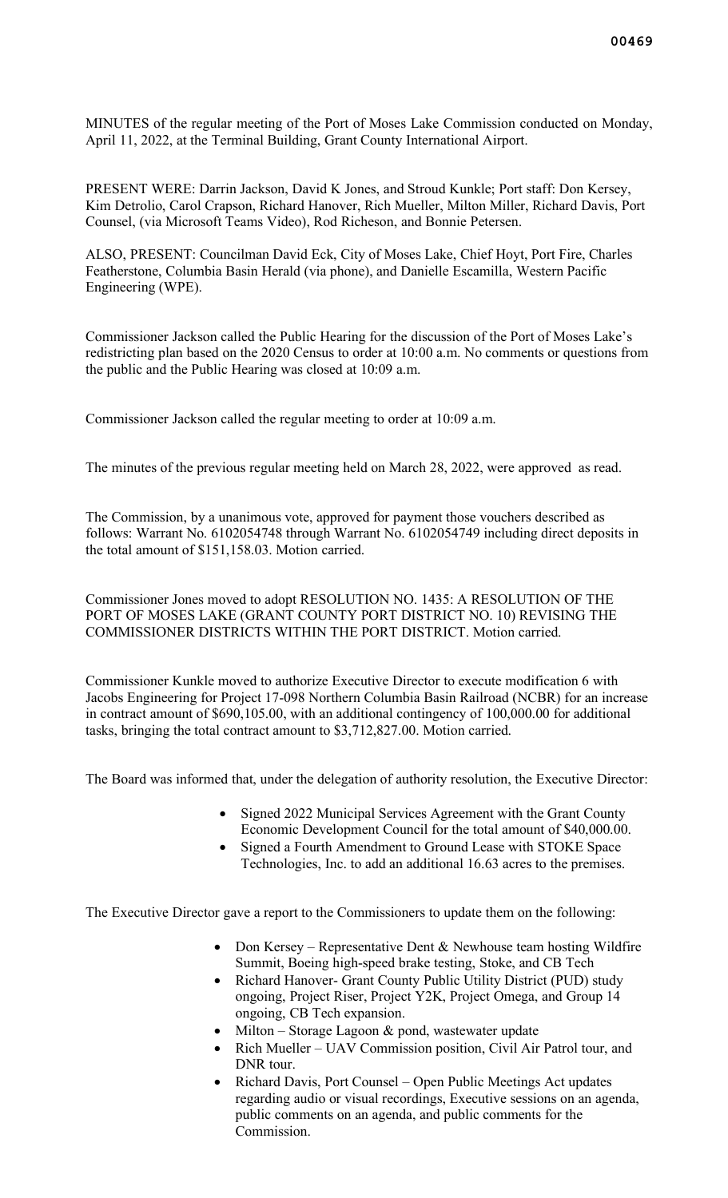MINUTES of the regular meeting of the Port of Moses Lake Commission conducted on Monday, April 11, 2022, at the Terminal Building, Grant County International Airport.

PRESENT WERE: Darrin Jackson, David K Jones, and Stroud Kunkle; Port staff: Don Kersey, Kim Detrolio, Carol Crapson, Richard Hanover, Rich Mueller, Milton Miller, Richard Davis, Port Counsel, (via Microsoft Teams Video), Rod Richeson, and Bonnie Petersen.

ALSO, PRESENT: Councilman David Eck, City of Moses Lake, Chief Hoyt, Port Fire, Charles Featherstone, Columbia Basin Herald (via phone), and Danielle Escamilla, Western Pacific Engineering (WPE).

Commissioner Jackson called the Public Hearing for the discussion of the Port of Moses Lake's redistricting plan based on the 2020 Census to order at 10:00 a.m. No comments or questions from the public and the Public Hearing was closed at 10:09 a.m.

Commissioner Jackson called the regular meeting to order at 10:09 a.m.

The minutes of the previous regular meeting held on March 28, 2022, were approved as read.

The Commission, by a unanimous vote, approved for payment those vouchers described as follows: Warrant No. 6102054748 through Warrant No. 6102054749 including direct deposits in the total amount of \$151,158.03. Motion carried.

Commissioner Jones moved to adopt RESOLUTION NO. 1435: A RESOLUTION OF THE PORT OF MOSES LAKE (GRANT COUNTY PORT DISTRICT NO. 10) REVISING THE COMMISSIONER DISTRICTS WITHIN THE PORT DISTRICT. Motion carried.

Commissioner Kunkle moved to authorize Executive Director to execute modification 6 with Jacobs Engineering for Project 17-098 Northern Columbia Basin Railroad (NCBR) for an increase in contract amount of \$690,105.00, with an additional contingency of 100,000.00 for additional tasks, bringing the total contract amount to \$3,712,827.00. Motion carried.

The Board was informed that, under the delegation of authority resolution, the Executive Director:

- Signed 2022 Municipal Services Agreement with the Grant County Economic Development Council for the total amount of \$40,000.00.
- Signed a Fourth Amendment to Ground Lease with STOKE Space Technologies, Inc. to add an additional 16.63 acres to the premises.

The Executive Director gave a report to the Commissioners to update them on the following:

- Don Kersey Representative Dent & Newhouse team hosting Wildfire Summit, Boeing high-speed brake testing, Stoke, and CB Tech
- Richard Hanover- Grant County Public Utility District (PUD) study ongoing, Project Riser, Project Y2K, Project Omega, and Group 14 ongoing, CB Tech expansion.
- Milton Storage Lagoon  $&$  pond, wastewater update
- Rich Mueller UAV Commission position, Civil Air Patrol tour, and DNR tour.
- Richard Davis, Port Counsel Open Public Meetings Act updates regarding audio or visual recordings, Executive sessions on an agenda, public comments on an agenda, and public comments for the Commission.